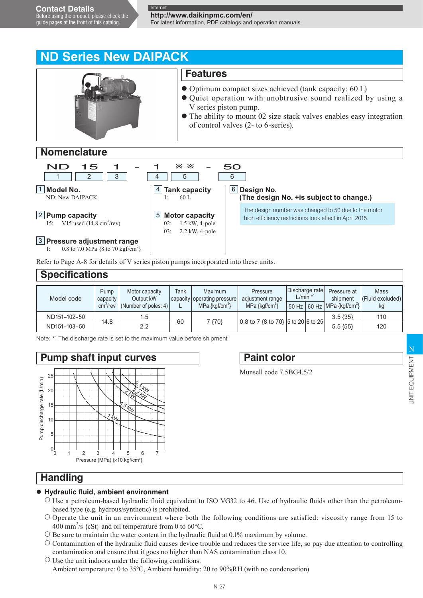guide pages at the front of this catalog.

**http://www.daikinpmc.com/en/** For latest information, PDF catalogs and operation manuals

# **ND Series New DAIPACK**



### **Nomenclature**



Refer to Page A-8 for details of V series piston pumps incorporated into these units.

| <b>Specifications</b> |                                          |                                                        |      |                                                                              |                                                             |                                                      |  |                                                                        |                                |  |  |
|-----------------------|------------------------------------------|--------------------------------------------------------|------|------------------------------------------------------------------------------|-------------------------------------------------------------|------------------------------------------------------|--|------------------------------------------------------------------------|--------------------------------|--|--|
| Model code            | Pump<br>capacity<br>cm <sup>3</sup> /rev | Motor capacity<br>Output kW<br>(Number of poles: $4$ ) | Tank | <b>Maximum</b><br>capacity operating pressure<br>MPa $\{ \text{kaf/cm}^2 \}$ | Pressure<br>adjustment range<br>MPa $\{ \text{kqf/cm}^2 \}$ | Discharge rate<br>$L/min$ <sup><math>*1</math></sup> |  | Pressure at<br>shipment<br>$50$ Hz $ 60$ Hz MPa {kgf/cm <sup>2</sup> } | Mass<br>(Fluid excluded)<br>kg |  |  |
| ND151-102-50          | 14.8                                     | 1.5                                                    | 60   | 7 {70}                                                                       | 0.8 to 7 {8 to 70} 5 to 20 6 to 25                          |                                                      |  | $3.5 \{35\}$                                                           | 110                            |  |  |
| ND151-103-50          |                                          | 2.2                                                    |      |                                                                              |                                                             |                                                      |  | $5.5\{55\}$                                                            | 120                            |  |  |

Note: \*1 The discharge rate is set to the maximum value before shipment



# **Paint color**

Munsell code 7.5BG4.5/2

## **Handling**

#### **Hydraulic fluid, ambient environment**

- Use a petroleum-based hydraulic fluid equivalent to ISO VG32 to 46. Use of hydraulic fluids other than the petroleumbased type (e.g. hydrous/synthetic) is prohibited.
- $\circ$  Operate the unit in an environment where both the following conditions are satisfied: viscosity range from 15 to 400 mm<sup>2</sup>/s {cSt} and oil temperature from 0 to 60 $^{\circ}$ C.
- $\circ$  Be sure to maintain the water content in the hydraulic fluid at 0.1% maximum by volume.
- $\circ$  Contamination of the hydraulic fluid causes device trouble and reduces the service life, so pay due attention to controlling contamination and ensure that it goes no higher than NAS contamination class 10.
- $\circ$  Use the unit indoors under the following conditions. Ambient temperature: 0 to 35°C, Ambient humidity: 20 to 90%RH (with no condensation)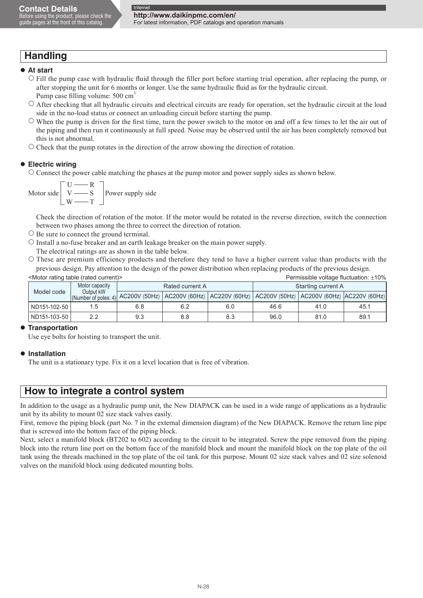## **Handling**

#### **At start**

- Fill the pump case with hydraulic fluid through the filler port before starting trial operation, after replacing the pump, or after stopping the unit for 6 months or longer. Use the same hydraulic fluid as for the hydraulic circuit. Pump case filling volume: 500 cm<sup>3</sup>
- After checking that all hydraulic circuits and electrical circuits are ready for operation, set the hydraulic circuit at the load side in the no-load status or connect an unloading circuit before starting the pump.
- $\circ$  When the pump is driven for the first time, turn the power switch to the motor on and off a few times to let the air out of the piping and then run it continuously at full speed. Noise may be observed until the air has been completely removed but this is not abnormal.
- $\circ$  Check that the pump rotates in the direction of the arrow showing the direction of rotation.

#### **Electric wiring**

 Connect the power cable matching the phases at the pump motor and power supply sides as shown below.

Motor side  $U \longrightarrow R$  $V \longrightarrow S$  $W \longrightarrow T$ Power supply side

 Check the direction of rotation of the motor. If the motor would be rotated in the reverse direction, switch the connection between two phases among the three to correct the direction of rotation.

- $\circ$  Be sure to connect the ground terminal.
- $\circ$  Install a no-fuse breaker and an earth leakage breaker on the main power supply.
- The electrical ratings are as shown in the table below.
- These are premium efficiency products and therefore they tend to have a higher current value than products with the previous design. Pay attention to the design of the power distribution when replacing products of the previous design.

|              | <motor (rated="" current)="" rating="" table=""></motor>                                                                                          |     |                 | Permissible voltage fluctuation: ±10% |                    |      |      |  |
|--------------|---------------------------------------------------------------------------------------------------------------------------------------------------|-----|-----------------|---------------------------------------|--------------------|------|------|--|
| Model code   | Motor capacity<br>Output kW<br>(Number of poles: 4) AC200V (50Hz)   AC200V (60Hz)   AC220V (60Hz)   AC200V (50Hz)   AC200V (60Hz)   AC220V (60Hz) |     | Rated current A |                                       | Starting current A |      |      |  |
|              |                                                                                                                                                   |     |                 |                                       |                    |      |      |  |
| ND151-102-50 | 5.                                                                                                                                                | 6.8 | 6.2             | 6.0                                   | 46.6               | 41.0 | 45.1 |  |
| ND151-103-50 | 2.2                                                                                                                                               | 9.3 | 8.8             | 8.3                                   | 96.0               | 81.0 | 89.1 |  |

#### **Transportation**

Use eye bolts for hoisting to transport the unit.

#### **Installation**

The unit is a stationary type. Fix it on a level location that is free of vibration.

## **How to integrate a control system**

In addition to the usage as a hydraulic pump unit, the New DIAPACK can be used in a wide range of applications as a hydraulic unit by its ability to mount 02 size stack valves easily.

First, remove the piping block (part No. 7 in the external dimension diagram) of the New DIAPACK. Remove the return line pipe that is screwed into the bottom face of the piping block.

Next, select a manifold block (BT202 to 602) according to the circuit to be integrated. Screw the pipe removed from the piping block into the return line port on the bottom face of the manifold block and mount the manifold block on the top plate of the oil tank using the threads machined in the top plate of the oil tank for this purpose. Mount 02 size stack valves and 02 size solenoid valves on the manifold block using dedicated mounting bolts.